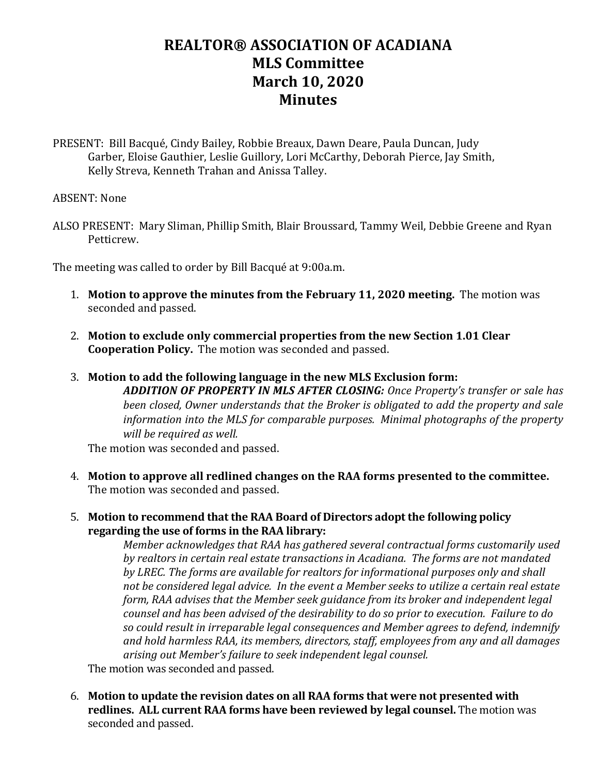## **REALTOR® ASSOCIATION OF ACADIANA MLS Committee March 10, 2020 Minutes**

PRESENT: Bill Bacqué, Cindy Bailey, Robbie Breaux, Dawn Deare, Paula Duncan, Judy Garber, Eloise Gauthier, Leslie Guillory, Lori McCarthy, Deborah Pierce, Jay Smith, Kelly Streva, Kenneth Trahan and Anissa Talley.

## ABSENT: None

ALSO PRESENT: Mary Sliman, Phillip Smith, Blair Broussard, Tammy Weil, Debbie Greene and Ryan Petticrew.

The meeting was called to order by Bill Bacqué at 9:00a.m.

- 1. **Motion to approve the minutes from the February 11, 2020 meeting.** The motion was seconded and passed.
- 2. **Motion to exclude only commercial properties from the new Section 1.01 Clear Cooperation Policy.** The motion was seconded and passed.
- 3. **Motion to add the following language in the new MLS Exclusion form:** *ADDITION OF PROPERTY IN MLS AFTER CLOSING: Once Property's transfer or sale has been closed, Owner understands that the Broker is obligated to add the property and sale information into the MLS for comparable purposes. Minimal photographs of the property will be required as well.*

The motion was seconded and passed.

- 4. **Motion to approve all redlined changes on the RAA forms presented to the committee.**  The motion was seconded and passed.
- 5. **Motion to recommend that the RAA Board of Directors adopt the following policy regarding the use of forms in the RAA library:**

*Member acknowledges that RAA has gathered several contractual forms customarily used by realtors in certain real estate transactions in Acadiana. The forms are not mandated by LREC. The forms are available for realtors for informational purposes only and shall not be considered legal advice. In the event a Member seeks to utilize a certain real estate form, RAA advises that the Member seek guidance from its broker and independent legal counsel and has been advised of the desirability to do so prior to execution. Failure to do so could result in irreparable legal consequences and Member agrees to defend, indemnify and hold harmless RAA, its members, directors, staff, employees from any and all damages arising out Member's failure to seek independent legal counsel.*

The motion was seconded and passed.

6. **Motion to update the revision dates on all RAA forms that were not presented with redlines. ALL current RAA forms have been reviewed by legal counsel.** The motion was seconded and passed.